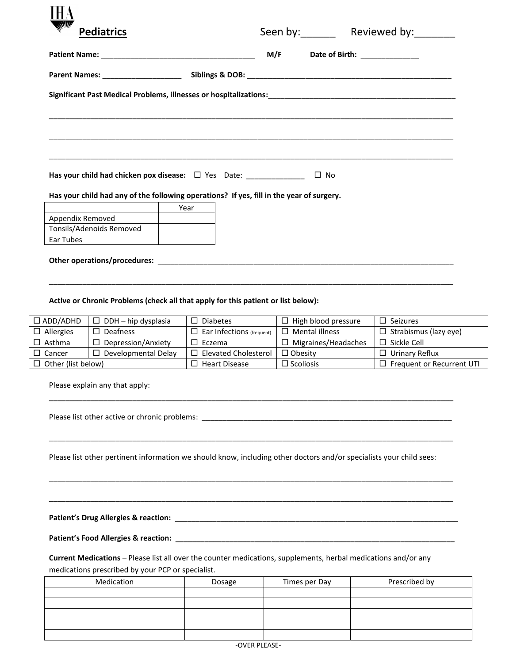| <b>Pediatrics</b>                                                                                                                                                                  |      |  |           |                       |  |  |
|------------------------------------------------------------------------------------------------------------------------------------------------------------------------------------|------|--|-----------|-----------------------|--|--|
|                                                                                                                                                                                    |      |  |           | Seen by: Reviewed by: |  |  |
|                                                                                                                                                                                    |      |  |           |                       |  |  |
|                                                                                                                                                                                    |      |  |           |                       |  |  |
| Significant Past Medical Problems, illnesses or hospitalizations:<br>1990 - 1992 - 1992 - 1992 - 1992 - 1992 - 1992 - 1992 - 1993 - 1994 - 1994 - 1994 - 1994 - 1994 - 1994 - 1994 |      |  |           |                       |  |  |
|                                                                                                                                                                                    |      |  |           |                       |  |  |
|                                                                                                                                                                                    |      |  |           |                       |  |  |
|                                                                                                                                                                                    |      |  |           |                       |  |  |
|                                                                                                                                                                                    |      |  |           |                       |  |  |
| Has your child had chicken pox disease: $\Box$ Yes Date: ______________                                                                                                            |      |  | $\Box$ No |                       |  |  |
|                                                                                                                                                                                    |      |  |           |                       |  |  |
| Has your child had any of the following operations? If yes, fill in the year of surgery.                                                                                           |      |  |           |                       |  |  |
|                                                                                                                                                                                    | Year |  |           |                       |  |  |
| Appendix Removed                                                                                                                                                                   |      |  |           |                       |  |  |
| Tonsils/Adenoids Removed                                                                                                                                                           |      |  |           |                       |  |  |
| Ear Tubes                                                                                                                                                                          |      |  |           |                       |  |  |
|                                                                                                                                                                                    |      |  |           |                       |  |  |

## **Active or Chronic Problems (check all that apply for this patient or list below):**

| $\Box$ ADD/ADHD           | $\Box$ DDH – hip dysplasia | <b>Diabetes</b>                  | High blood pressure | $\square$ Seizures           |  |
|---------------------------|----------------------------|----------------------------------|---------------------|------------------------------|--|
| $\Box$ Allergies          | Deafness                   | $\Box$ Ear Infections (frequent) | Mental illness      | $\Box$ Strabismus (lazy eye) |  |
| $\Box$ Asthma             | Depression/Anxiety         | Eczema                           | Migraines/Headaches | Sickle Cell                  |  |
| $\Box$ Cancer             | Developmental Delay        | <b>Elevated Cholesterol</b>      | $\Box$ Obesity      | Urinary Reflux               |  |
| $\Box$ Other (list below) |                            | <b>Heart Disease</b>             | $\Box$ Scoliosis    | Frequent or Recurrent UTI    |  |

\_\_\_\_\_\_\_\_\_\_\_\_\_\_\_\_\_\_\_\_\_\_\_\_\_\_\_\_\_\_\_\_\_\_\_\_\_\_\_\_\_\_\_\_\_\_\_\_\_\_\_\_\_\_\_\_\_\_\_\_\_\_\_\_\_\_\_\_\_\_\_\_\_\_\_\_\_\_\_\_\_\_\_\_\_\_\_\_\_\_\_\_\_\_\_\_\_

\_\_\_\_\_\_\_\_\_\_\_\_\_\_\_\_\_\_\_\_\_\_\_\_\_\_\_\_\_\_\_\_\_\_\_\_\_\_\_\_\_\_\_\_\_\_\_\_\_\_\_\_\_\_\_\_\_\_\_\_\_\_\_\_\_\_\_\_\_\_\_\_\_\_\_\_\_\_\_\_\_\_\_\_\_\_\_\_\_\_\_\_\_\_\_\_\_

\_\_\_\_\_\_\_\_\_\_\_\_\_\_\_\_\_\_\_\_\_\_\_\_\_\_\_\_\_\_\_\_\_\_\_\_\_\_\_\_\_\_\_\_\_\_\_\_\_\_\_\_\_\_\_\_\_\_\_\_\_\_\_\_\_\_\_\_\_\_\_\_\_\_\_\_\_\_\_\_\_\_\_\_\_\_\_\_\_\_\_\_\_\_\_\_\_

\_\_\_\_\_\_\_\_\_\_\_\_\_\_\_\_\_\_\_\_\_\_\_\_\_\_\_\_\_\_\_\_\_\_\_\_\_\_\_\_\_\_\_\_\_\_\_\_\_\_\_\_\_\_\_\_\_\_\_\_\_\_\_\_\_\_\_\_\_\_\_\_\_\_\_\_\_\_\_\_\_\_\_\_\_\_\_\_\_\_\_\_\_\_\_\_\_

\_\_\_\_\_\_\_\_\_\_\_\_\_\_\_\_\_\_\_\_\_\_\_\_\_\_\_\_\_\_\_\_\_\_\_\_\_\_\_\_\_\_\_\_\_\_\_\_\_\_\_\_\_\_\_\_\_\_\_\_\_\_\_\_\_\_\_\_\_\_\_\_\_\_\_\_\_\_\_\_\_\_\_\_\_\_\_\_\_\_\_\_\_\_\_\_\_

Please explain any that apply:

Please list other active or chronic problems: \_\_\_\_\_\_\_\_\_\_\_\_\_\_\_\_\_\_\_\_\_\_\_\_\_\_\_\_\_\_\_\_\_\_\_\_\_\_\_\_\_\_\_\_\_\_\_\_\_\_\_\_\_\_\_\_\_\_\_\_

Please list other pertinent information we should know, including other doctors and/or specialists your child sees:

**Patient's Drug Allergies & reaction:** \_\_\_\_\_\_\_\_\_\_\_\_\_\_\_\_\_\_\_\_\_\_\_\_\_\_\_\_\_\_\_\_\_\_\_\_\_\_\_\_\_\_\_\_\_\_\_\_\_\_\_\_\_\_\_\_\_\_\_\_\_\_\_\_\_\_\_\_

**Patient's Food Allergies & reaction:** \_\_\_\_\_\_\_\_\_\_\_\_\_\_\_\_\_\_\_\_\_\_\_\_\_\_\_\_\_\_\_\_\_\_\_\_\_\_\_\_\_\_\_\_\_\_\_\_\_\_\_\_\_\_\_\_\_\_\_\_\_\_\_\_\_\_\_

**Current Medications** – Please list all over the counter medications, supplements, herbal medications and/or any medications prescribed by your PCP or specialist.

| Medication | Dosage | Times per Day | Prescribed by |  |  |
|------------|--------|---------------|---------------|--|--|
|            |        |               |               |  |  |
|            |        |               |               |  |  |
|            |        |               |               |  |  |
|            |        |               |               |  |  |
|            |        |               |               |  |  |